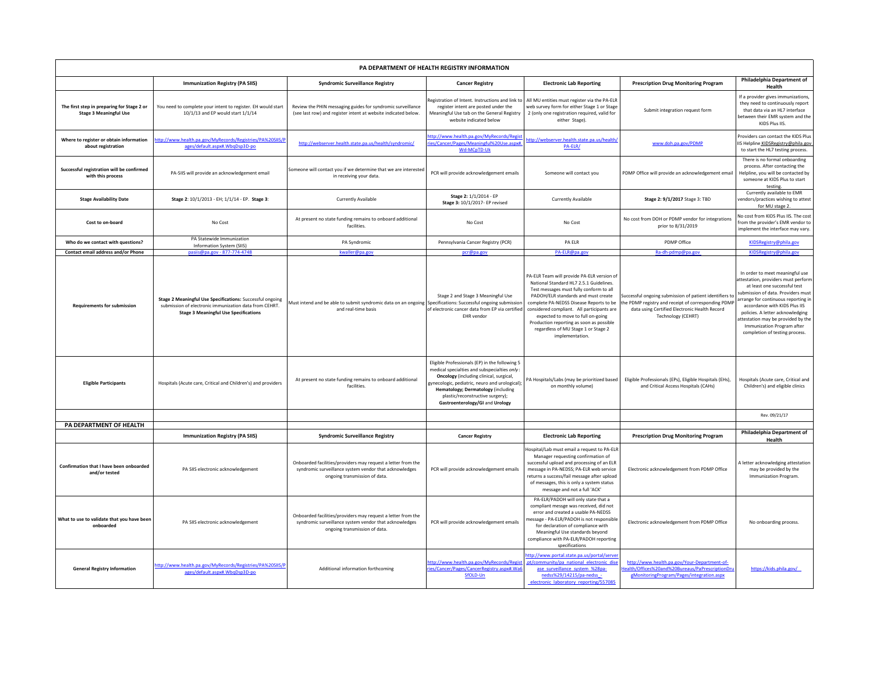| PA DEPARTMENT OF HEALTH REGISTRY INFORMATION                                |                                                                                                                                                                           |                                                                                                                                                         |                                                                                                                                                                                                                                                                                                                |                                                                                                                                                                                                                                                                                                                                                                                                             |                                                                                                                                                                                       |                                                                                                                                                                                                                                                                                                                                                                |  |  |  |  |
|-----------------------------------------------------------------------------|---------------------------------------------------------------------------------------------------------------------------------------------------------------------------|---------------------------------------------------------------------------------------------------------------------------------------------------------|----------------------------------------------------------------------------------------------------------------------------------------------------------------------------------------------------------------------------------------------------------------------------------------------------------------|-------------------------------------------------------------------------------------------------------------------------------------------------------------------------------------------------------------------------------------------------------------------------------------------------------------------------------------------------------------------------------------------------------------|---------------------------------------------------------------------------------------------------------------------------------------------------------------------------------------|----------------------------------------------------------------------------------------------------------------------------------------------------------------------------------------------------------------------------------------------------------------------------------------------------------------------------------------------------------------|--|--|--|--|
|                                                                             | <b>Immunization Registry (PA SIIS)</b>                                                                                                                                    | <b>Syndromic Surveillance Registry</b>                                                                                                                  | <b>Cancer Registry</b>                                                                                                                                                                                                                                                                                         | <b>Electronic Lab Reporting</b>                                                                                                                                                                                                                                                                                                                                                                             | <b>Prescription Drug Monitoring Program</b>                                                                                                                                           | <b>Philadelphia Department of</b><br>Health                                                                                                                                                                                                                                                                                                                    |  |  |  |  |
| The first step in preparing for Stage 2 or<br><b>Stage 3 Meaningful Use</b> | You need to complete your intent to register. EH would start<br>10/1/13 and EP would start 1/1/14                                                                         | Review the PHIN messaging guides for syndromic surveillance<br>(see last row) and register intent at website indicated below.                           | Registration of Intent. Instructions and link to<br>register intent are posted under the<br>Meaningful Use tab on the General Registry<br>website indicated below                                                                                                                                              | All MU entities must register via the PA-ELR<br>web survey form for either Stage 1 or Stage<br>2 (only one registration required, valid for<br>either Stage).                                                                                                                                                                                                                                               | Submit integration request form                                                                                                                                                       | If a provider gives immunizations,<br>they need to continuously report<br>that data via an HL7 interface<br>between their EMR system and the<br>KIDS Plus IIS.                                                                                                                                                                                                 |  |  |  |  |
| Where to register or obtain information<br>about registration               | http://www.health.pa.gov/MyRecords/Registries/PA%20SIIS/P<br>ages/default.aspx#.WbqDsp3D-po                                                                               | http://webserver.health.state.pa.us/health/syndromic/                                                                                                   | http://www.health.pa.gov/MyRecords/Regis<br>ries/Cancer/Pages/Meaningful%20Use.aspx#<br>Wd-MCpTD-Uk                                                                                                                                                                                                            | http://webserver.health.state.pa.us/health/<br>PA-ELR/                                                                                                                                                                                                                                                                                                                                                      | www.doh.pa.gov/PDMP                                                                                                                                                                   | Providers can contact the KIDS Plus<br>IIS Helpline KIDSRegistry@phila.gov<br>to start the HL7 testing process.                                                                                                                                                                                                                                                |  |  |  |  |
| Successful registration will be confirmed<br>with this process              | PA-SIIS will provide an acknowledgement email                                                                                                                             | Someone will contact you if we determine that we are interested<br>in receiving your data.                                                              | PCR will provide acknowledgement emails                                                                                                                                                                                                                                                                        | Someone will contact you                                                                                                                                                                                                                                                                                                                                                                                    | PDMP Office will provide an acknowledgement email                                                                                                                                     | There is no formal onboarding<br>process. After contacting the<br>Helpline, you will be contacted by<br>someone at KIDS Plus to start<br>testing                                                                                                                                                                                                               |  |  |  |  |
| <b>Stage Availability Date</b>                                              | Stage 2: 10/1/2013 - EH; 1/1/14 - EP. Stage 3:                                                                                                                            | <b>Currently Available</b>                                                                                                                              | Stage 2: 1/1/2014 - EP<br>Stage 3: 10/1/2017- EP revised                                                                                                                                                                                                                                                       | <b>Currently Available</b>                                                                                                                                                                                                                                                                                                                                                                                  | <b>Stage 2: 9/1/2017</b> Stage 3: TBD                                                                                                                                                 | Currently available to EMR<br>vendors/practices wishing to attest<br>for MU stage 2.                                                                                                                                                                                                                                                                           |  |  |  |  |
| <b>Cost to on-board</b>                                                     | No Cost                                                                                                                                                                   | At present no state funding remains to onboard additional<br>facilities.                                                                                | No Cost                                                                                                                                                                                                                                                                                                        | No Cost                                                                                                                                                                                                                                                                                                                                                                                                     | No cost from DOH or PDMP vendor for integrations<br>prior to 8/31/2019                                                                                                                | No cost from KIDS Plus IIS. The cost<br>from the provider's EMR vendor to<br>implement the interface may vary                                                                                                                                                                                                                                                  |  |  |  |  |
| Who do we contact with questions?                                           | PA Statewide Immunization<br>Information System (SIIS)                                                                                                                    | PA Syndromic                                                                                                                                            | Pennsylvania Cancer Registry (PCR)                                                                                                                                                                                                                                                                             | <b>PA ELR</b>                                                                                                                                                                                                                                                                                                                                                                                               | PDMP Office                                                                                                                                                                           | KIDSRegistry@phila.gov                                                                                                                                                                                                                                                                                                                                         |  |  |  |  |
| <b>Contact email address and/or Phone</b>                                   | pasiis@pa.gov - 877-774-4748                                                                                                                                              | kwaller@pa.gov                                                                                                                                          | pcr@pa.gov                                                                                                                                                                                                                                                                                                     | PA-ELR@pa.gov                                                                                                                                                                                                                                                                                                                                                                                               | Ra-dh-pdmp@pa.gov                                                                                                                                                                     | KIDSRegistry@phila.gov                                                                                                                                                                                                                                                                                                                                         |  |  |  |  |
| <b>Requirements for submission</b>                                          | <b>Stage 2 Meaningful Use Specifications: Successful ongoing</b><br>submission of electronic immunization data from CEHRT<br><b>Stage 3 Meaningful Use Specifications</b> | Must intend and be able to submit syndromic data on an ongoing<br>and real-time basis                                                                   | Stage 2 and Stage 3 Meaningful Use<br>Specifications: Successful ongoing submissior<br>of electronic cancer data from EP via certified<br>EHR vendor                                                                                                                                                           | PA-ELR Team will provide PA-ELR version of<br>National Standard HL7 2.5.1 Guidelines.<br>Test messages must fully conform to all<br>PADOH/ELR standards and must create<br>complete PA-NEDSS Disease Reports to be<br>considered compliant. All participants are<br>expected to move to full on-going<br>Production reporting as soon as possible<br>regardless of MU Stage 1 or Stage 2<br>implementation. | Successful ongoing submission of patient identifiers to<br>the PDMP registry and receipt of corresponding PDMP<br>data using Certified Electronic Health Record<br>Technology (CEHRT) | In order to meet meaningful use<br>attestation, providers must perform<br>at least one successful test<br>submission of data. Providers must<br>arrange for continuous reporting in<br>accordance with KIDS Plus IIS<br>policies. A letter acknowledging<br>attestation may be provided by the<br>Immunization Program after<br>completion of testing process. |  |  |  |  |
| <b>Eligible Participants</b>                                                | Hospitals (Acute care, Critical and Children's) and providers                                                                                                             | At present no state funding remains to onboard additional<br>facilities.                                                                                | Eligible Professionals (EP) in the following 5<br>medical specialties and subspecialties only:<br><b>Oncology</b> (including clinical, surgical,<br>gynecologic, pediatric, neuro and urological)<br>Hematology; Dermatology (including<br>plastic/reconstructive surgery);<br>Gastroenterology/GI and Urology | PA Hospitals/Labs (may be prioritized based<br>on monthly volume)                                                                                                                                                                                                                                                                                                                                           | Eligible Professionals (EPs), Eligible Hospitals (EHs),<br>and Critical Access Hospitals (CAHs)                                                                                       | Hospitals (Acute care, Critical and<br>Children's) and eligible clinics                                                                                                                                                                                                                                                                                        |  |  |  |  |
|                                                                             |                                                                                                                                                                           |                                                                                                                                                         |                                                                                                                                                                                                                                                                                                                |                                                                                                                                                                                                                                                                                                                                                                                                             |                                                                                                                                                                                       | Rev. 09/21/17                                                                                                                                                                                                                                                                                                                                                  |  |  |  |  |
| <b>PA DEPARTMENT OF HEALTH</b>                                              |                                                                                                                                                                           |                                                                                                                                                         |                                                                                                                                                                                                                                                                                                                |                                                                                                                                                                                                                                                                                                                                                                                                             |                                                                                                                                                                                       |                                                                                                                                                                                                                                                                                                                                                                |  |  |  |  |
|                                                                             | <b>Immunization Registry (PA SIIS)</b>                                                                                                                                    | <b>Syndromic Surveillance Registry</b>                                                                                                                  | <b>Cancer Registry</b>                                                                                                                                                                                                                                                                                         | <b>Electronic Lab Reporting</b>                                                                                                                                                                                                                                                                                                                                                                             | <b>Prescription Drug Monitoring Program</b>                                                                                                                                           | <b>Philadelphia Department of</b><br>Health                                                                                                                                                                                                                                                                                                                    |  |  |  |  |
| Confirmation that I have been onboarded<br>and/or tested                    | PA SIIS electronic acknowledgement                                                                                                                                        | Onboarded facilities/providers may request a letter from the<br>syndromic surveillance system vendor that acknowledges<br>ongoing transmission of data. | PCR will provide acknowledgement emails                                                                                                                                                                                                                                                                        | Hospital/Lab must email a request to PA-ELR<br>Manager requesting confirmation of<br>successful upload and processing of an ELR<br>message in PA-NEDSS; PA-ELR web service<br>returns a success/fail message after upload<br>of messages, this is only a system status<br>message and not a full 'ACK'                                                                                                      | Electronic acknowledgement from PDMP Office                                                                                                                                           | A letter acknowledging attestation<br>may be provided by the<br>Immunization Program.                                                                                                                                                                                                                                                                          |  |  |  |  |
| What to use to validate that you have been<br>onboarded                     | PA SIIS electronic acknowledgement                                                                                                                                        | Onboarded facilities/providers may request a letter from the<br>syndromic surveillance system vendor that acknowledges<br>ongoing transmission of data. | PCR will provide acknowledgement emails                                                                                                                                                                                                                                                                        | PA-ELR/PADOH will only state that a<br>compliant messge was received, did not<br>error and created a usable PA-NEDSS<br>message - PA-ELR/PADOH is not responsible<br>for declaration of compliance with<br>Meaningful Use standards beyond<br>compliance with PA-ELR/PADOH reporting<br>specifications                                                                                                      | Electronic acknowledgement from PDMP Office                                                                                                                                           | No onboarding process.                                                                                                                                                                                                                                                                                                                                         |  |  |  |  |
| <b>General Registry Information</b>                                         | http://www.health.pa.gov/MyRecords/Registries/PA%20SIIS/P<br>ages/default.aspx#.WbqDsp3D-po                                                                               | Additional information forthcoming                                                                                                                      | http://www.health.pa.gov/MyRecords/Regist<br>ries/Cancer/Pages/CancerRegistry.aspx#.Wa<br>SfOLD-Un                                                                                                                                                                                                             | http://www.portal.state.pa.us/portal/server<br>.pt/community/pa_national_electronic_dise<br>ase surveillance system %28pa-<br>nedss%29/14215/pa-nedss -<br>electronic laboratory reporting/557085                                                                                                                                                                                                           | http://www.health.pa.gov/Your-Department-of-<br>Health/Offices%20and%20Bureaus/PaPrescriptionDru<br>gMonitoringProgram/Pages/integration.aspx                                         | https://kids.phila.gov/                                                                                                                                                                                                                                                                                                                                        |  |  |  |  |